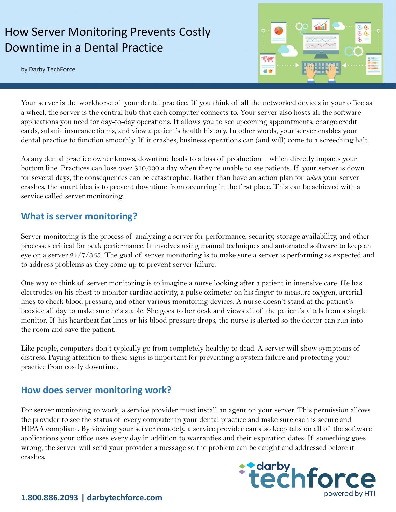# How Server Monitoring Prevents Costly Downtime in a Dental Practice

by Darby TechForce



Your server is the workhorse of your dental practice. If you think of all the networked devices in your office as a wheel, the server is the central hub that each computer connects to. Your server also hosts all the software applications you need for day-to-day operations. It allows you to see upcoming appointments, charge credit cards, submit insurance forms, and view a patient's health history. In other words, your server enables your dental practice to function smoothly. If it crashes, business operations can (and will) come to a screeching halt.

As any dental practice owner knows, downtime leads to a loss of production – which directly impacts your bottom line. Practices can lose over \$10,000 a day when they're unable to see patients. If your server is down for several days, the consequences can be catastrophic. Rather than have an action plan for *when* your server crashes, the smart idea is to prevent downtime from occurring in the first place. This can be achieved with a service called server monitoring.

#### **What is server monitoring?**

Server monitoring is the process of analyzing a server for performance, security, storage availability, and other processes critical for peak performance. It involves using manual techniques and automated software to keep an eye on a server 24/7/365. The goal of server monitoring is to make sure a server is performing as expected and to address problems as they come up to prevent server failure.

One way to think of server monitoring is to imagine a nurse looking after a patient in intensive care. He has electrodes on his chest to monitor cardiac activity, a pulse oximeter on his finger to measure oxygen, arterial lines to check blood pressure, and other various monitoring devices. A nurse doesn't stand at the patient's bedside all day to make sure he's stable. She goes to her desk and views all of the patient's vitals from a single monitor. If his heartbeat flat lines or his blood pressure drops, the nurse is alerted so the doctor can run into the room and save the patient.

Like people, computers don't typically go from completely healthy to dead. A server will show symptoms of distress. Paying attention to these signs is important for preventing a system failure and protecting your practice from costly downtime.

#### **How does server monitoring work?**

For server monitoring to work, a service provider must install an agent on your server. This permission allows the provider to see the status of every computer in your dental practice and make sure each is secure and HIPAA compliant. By viewing your server remotely, a service provider can also keep tabs on all of the software applications your office uses every day in addition to warranties and their expiration dates. If something goes wrong, the server will send your provider a message so the problem can be caught and addressed before it crashes.